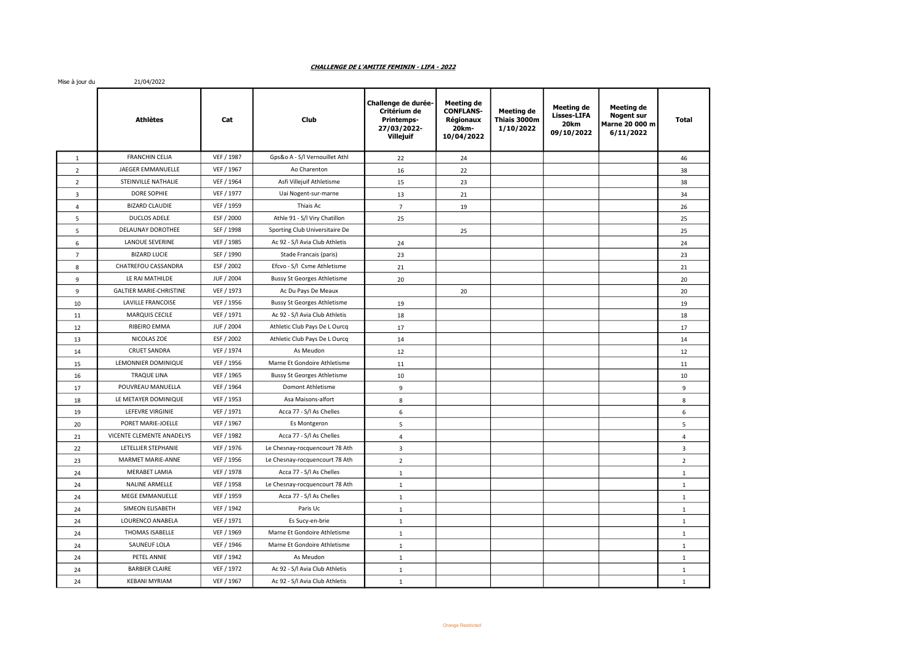## CHALLENGE DE L'AMITIE FEMININ - LIFA - 2022

Mise à jour du : 21/04/2022

|                | <b>Athlètes</b>                | Cat        | Club                               | Challenge de durée-<br>Critérium de<br>Printemps-<br>27/03/2022-<br>Villejuif | Meeting de<br><b>CONFLANS-</b><br>Régionaux<br>20km-<br>10/04/2022 | Meeting de<br>Thiais 3000m<br>1/10/2022 | <b>Meeting de</b><br><b>Lisses-LIFA</b><br>20 <sub>km</sub><br>09/10/2022 | Meeting de<br><b>Nogent sur</b><br>Marne 20 000 m<br>6/11/2022 | Total          |
|----------------|--------------------------------|------------|------------------------------------|-------------------------------------------------------------------------------|--------------------------------------------------------------------|-----------------------------------------|---------------------------------------------------------------------------|----------------------------------------------------------------|----------------|
| $\mathbf{1}$   | <b>FRANCHIN CELIA</b>          | VEF / 1987 | Gps&o A - S/l Vernouillet Athl     | 22                                                                            | 24                                                                 |                                         |                                                                           |                                                                | 46             |
| $\overline{2}$ | JAEGER EMMANUELLE              | VEF / 1967 | Ao Charenton                       | 16                                                                            | 22                                                                 |                                         |                                                                           |                                                                | 38             |
| $\overline{2}$ | STEINVILLE NATHALIE            | VEF / 1964 | Asfi Villejuif Athletisme          | 15                                                                            | 23                                                                 |                                         |                                                                           |                                                                | 38             |
| 3              | DORE SOPHIE                    | VEF / 1977 | Uai Nogent-sur-marne               | 13                                                                            | 21                                                                 |                                         |                                                                           |                                                                | 34             |
| $\overline{4}$ | <b>BIZARD CLAUDIE</b>          | VEF / 1959 | Thiais Ac                          | $\overline{7}$                                                                | 19                                                                 |                                         |                                                                           |                                                                | 26             |
| 5              | DUCLOS ADELE                   | ESF / 2000 | Athle 91 - S/l Viry Chatillon      | 25                                                                            |                                                                    |                                         |                                                                           |                                                                | 25             |
| 5              | DELAUNAY DOROTHEE              | SEF / 1998 | Sporting Club Universitaire De     |                                                                               | 25                                                                 |                                         |                                                                           |                                                                | 25             |
| 6              | LANOUE SEVERINE                | VEF / 1985 | Ac 92 - S/l Avia Club Athletis     | 24                                                                            |                                                                    |                                         |                                                                           |                                                                | 24             |
| $\overline{7}$ | <b>BIZARD LUCIE</b>            | SEF / 1990 | Stade Francais (paris)             | 23                                                                            |                                                                    |                                         |                                                                           |                                                                | 23             |
| 8              | CHATREFOU CASSANDRA            | ESF / 2002 | Efcvo - S/I Csme Athletisme        | 21                                                                            |                                                                    |                                         |                                                                           |                                                                | 21             |
| 9              | LE RAI MATHILDE                | JUF / 2004 | <b>Bussy St Georges Athletisme</b> | 20                                                                            |                                                                    |                                         |                                                                           |                                                                | 20             |
| 9              | <b>GALTIER MARIE-CHRISTINE</b> | VEF / 1973 | Ac Du Pays De Meaux                |                                                                               | 20                                                                 |                                         |                                                                           |                                                                | 20             |
| 10             | LAVILLE FRANCOISE              | VEF / 1956 | <b>Bussy St Georges Athletisme</b> | 19                                                                            |                                                                    |                                         |                                                                           |                                                                | 19             |
| 11             | <b>MARQUIS CECILE</b>          | VEF / 1971 | Ac 92 - S/l Avia Club Athletis     | 18                                                                            |                                                                    |                                         |                                                                           |                                                                | 18             |
| 12             | RIBEIRO EMMA                   | JUF / 2004 | Athletic Club Pays De L Ourcq      | 17                                                                            |                                                                    |                                         |                                                                           |                                                                | 17             |
| 13             | NICOLAS ZOE                    | ESF / 2002 | Athletic Club Pays De L Ourcq      | 14                                                                            |                                                                    |                                         |                                                                           |                                                                | 14             |
| 14             | <b>CRUET SANDRA</b>            | VEF / 1974 | As Meudon                          | 12                                                                            |                                                                    |                                         |                                                                           |                                                                | 12             |
| 15             | LEMONNIER DOMINIQUE            | VEF / 1956 | Marne Et Gondoire Athletisme       | 11                                                                            |                                                                    |                                         |                                                                           |                                                                | 11             |
| 16             | <b>TRAQUE LINA</b>             | VEF / 1965 | <b>Bussy St Georges Athletisme</b> | 10                                                                            |                                                                    |                                         |                                                                           |                                                                | 10             |
| 17             | POUVREAU MANUELLA              | VEF / 1964 | Domont Athletisme                  | 9                                                                             |                                                                    |                                         |                                                                           |                                                                | 9              |
| 18             | LE METAYER DOMINIQUE           | VEF / 1953 | Asa Maisons-alfort                 | 8                                                                             |                                                                    |                                         |                                                                           |                                                                | 8              |
| 19             | LEFEVRE VIRGINIE               | VEF / 1971 | Acca 77 - S/l As Chelles           | 6                                                                             |                                                                    |                                         |                                                                           |                                                                | 6              |
| 20             | PORET MARIE-JOELLE             | VEF / 1967 | Es Montgeron                       | 5                                                                             |                                                                    |                                         |                                                                           |                                                                | $\overline{5}$ |
| 21             | VICENTE CLEMENTE ANADELYS      | VEF / 1982 | Acca 77 - S/l As Chelles           | $\overline{4}$                                                                |                                                                    |                                         |                                                                           |                                                                | $\overline{4}$ |
| 22             | LETELLIER STEPHANIE            | VEF / 1976 | Le Chesnay-rocquencourt 78 Ath     | 3                                                                             |                                                                    |                                         |                                                                           |                                                                | $\overline{3}$ |
| 23             | MARMET MARIE-ANNE              | VEF / 1956 | Le Chesnay-rocquencourt 78 Ath     | $\overline{2}$                                                                |                                                                    |                                         |                                                                           |                                                                | $\overline{2}$ |
| 24             | <b>MERABET LAMIA</b>           | VEF / 1978 | Acca 77 - S/l As Chelles           | $\mathbf{1}$                                                                  |                                                                    |                                         |                                                                           |                                                                | $\mathbf{1}$   |
| 24             | NALINE ARMELLE                 | VEF / 1958 | Le Chesnay-rocquencourt 78 Ath     | $\mathbf{1}$                                                                  |                                                                    |                                         |                                                                           |                                                                | $\mathbf{1}$   |
| 24             | MEGE EMMANUELLE                | VEF / 1959 | Acca 77 - S/l As Chelles           | $\mathbf{1}$                                                                  |                                                                    |                                         |                                                                           |                                                                | $\mathbf{1}$   |
| 24             | SIMEON ELISABETH               | VEF / 1942 | Paris Uc                           | $\,1\,$                                                                       |                                                                    |                                         |                                                                           |                                                                | $\mathbf{1}$   |
| 24             | LOURENCO ANABELA               | VEF / 1971 | Es Sucy-en-brie                    | $\mathbf{1}$                                                                  |                                                                    |                                         |                                                                           |                                                                | $\mathbf{1}$   |
| 24             | THOMAS ISABELLE                | VEF / 1969 | Marne Et Gondoire Athletisme       | $\mathbf 1$                                                                   |                                                                    |                                         |                                                                           |                                                                | $\mathbf{1}$   |
| 24             | SAUNEUF LOLA                   | VEF / 1946 | Marne Et Gondoire Athletisme       | $\mathbf{1}$                                                                  |                                                                    |                                         |                                                                           |                                                                | $\mathbf{1}$   |
| 24             | PETEL ANNIE                    | VEF / 1942 | As Meudon                          | $\mathbf 1$                                                                   |                                                                    |                                         |                                                                           |                                                                | $\mathbf{1}$   |
| 24             | <b>BARBIER CLAIRE</b>          | VEF / 1972 | Ac 92 - S/l Avia Club Athletis     | $\mathbf{1}$                                                                  |                                                                    |                                         |                                                                           |                                                                | $\mathbf{1}$   |
| 24             | <b>KEBANI MYRIAM</b>           | VEF / 1967 | Ac 92 - S/l Avia Club Athletis     | $\mathbf{1}$                                                                  |                                                                    |                                         |                                                                           |                                                                | $\mathbf{1}$   |